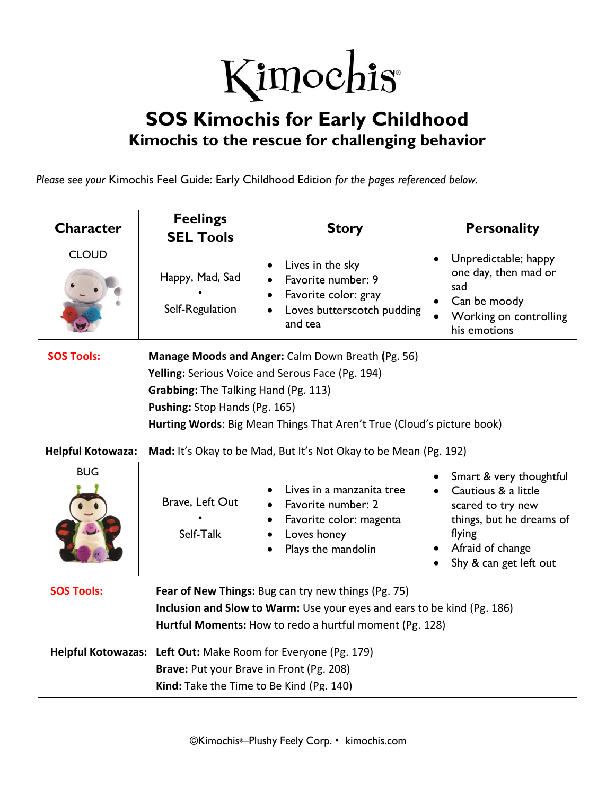## Kimochis®

## **SOS Kimochis for Early Childhood Kimochis to the rescue for challenging behavior**

*Please see your* Kimochis Feel Guide: Early Childhood Edition *for the pages referenced below.*

| <b>Character</b>  | <b>Feelings</b><br><b>SEL Tools</b>                                                                                                                                                                                                                                                                    | <b>Story</b>                                                                                                                 | <b>Personality</b>                                                                                                                                      |  |  |
|-------------------|--------------------------------------------------------------------------------------------------------------------------------------------------------------------------------------------------------------------------------------------------------------------------------------------------------|------------------------------------------------------------------------------------------------------------------------------|---------------------------------------------------------------------------------------------------------------------------------------------------------|--|--|
| <b>CLOUD</b>      | Happy, Mad, Sad<br>Self-Regulation                                                                                                                                                                                                                                                                     | Lives in the sky<br>Favorite number: 9<br>Favorite color: gray<br>Loves butterscotch pudding<br>and tea                      | Unpredictable; happy<br>$\bullet$<br>one day, then mad or<br>sad<br>Can be moody<br>Working on controlling<br>his emotions                              |  |  |
| <b>SOS Tools:</b> | Manage Moods and Anger: Calm Down Breath (Pg. 56)<br>Yelling: Serious Voice and Serous Face (Pg. 194)<br><b>Grabbing:</b> The Talking Hand (Pg. 113)<br>Pushing: Stop Hands (Pg. 165)<br>Hurting Words: Big Mean Things That Aren't True (Cloud's picture book)                                        |                                                                                                                              |                                                                                                                                                         |  |  |
| Helpful Kotowaza: | Mad: It's Okay to be Mad, But It's Not Okay to be Mean (Pg. 192)                                                                                                                                                                                                                                       |                                                                                                                              |                                                                                                                                                         |  |  |
| <b>BUG</b>        | Brave, Left Out<br>Self-Talk                                                                                                                                                                                                                                                                           | Lives in a manzanita tree<br>Favorite number: 2<br>Favorite color: magenta<br>Loves honey<br>$\bullet$<br>Plays the mandolin | Smart & very thoughtful<br>Cautious & a little<br>scared to try new<br>things, but he dreams of<br>flying<br>Afraid of change<br>Shy & can get left out |  |  |
| <b>SOS Tools:</b> | Fear of New Things: Bug can try new things (Pg. 75)<br>Inclusion and Slow to Warm: Use your eyes and ears to be kind (Pg. 186)<br>Hurtful Moments: How to redo a hurtful moment (Pg. 128)<br>Helpful Kotowazas: Left Out: Make Room for Everyone (Pg. 179)<br>Brave: Put your Brave in Front (Pg. 208) |                                                                                                                              |                                                                                                                                                         |  |  |
|                   | Kind: Take the Time to Be Kind (Pg. 140)                                                                                                                                                                                                                                                               |                                                                                                                              |                                                                                                                                                         |  |  |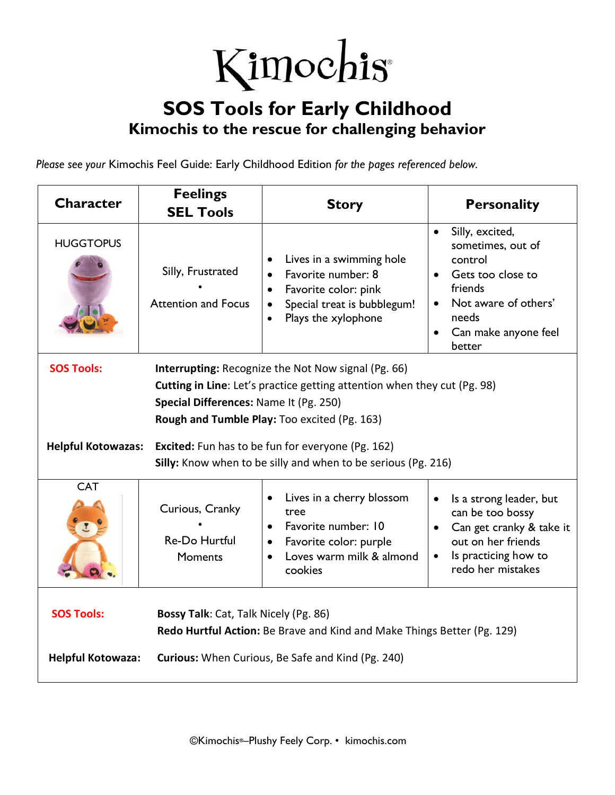

## **SOS Tools for Early Childhood Kimochis to the rescue for challenging behavior**

*Please see your* Kimochis Feel Guide: Early Childhood Edition *for the pages referenced below.*

| <b>Character</b>                                                                                                                                                                                                                                             | <b>Feelings</b>                                                                                                                                                       | <b>Story</b>                                                                                                                                           | <b>Personality</b>                                                                                                                                              |  |  |
|--------------------------------------------------------------------------------------------------------------------------------------------------------------------------------------------------------------------------------------------------------------|-----------------------------------------------------------------------------------------------------------------------------------------------------------------------|--------------------------------------------------------------------------------------------------------------------------------------------------------|-----------------------------------------------------------------------------------------------------------------------------------------------------------------|--|--|
|                                                                                                                                                                                                                                                              | <b>SEL Tools</b>                                                                                                                                                      |                                                                                                                                                        |                                                                                                                                                                 |  |  |
| <b>HUGGTOPUS</b>                                                                                                                                                                                                                                             | Silly, Frustrated<br><b>Attention and Focus</b>                                                                                                                       | Lives in a swimming hole<br>Favorite number: 8<br>Favorite color: pink<br>Special treat is bubblegum!<br>$\bullet$<br>Plays the xylophone<br>$\bullet$ | Silly, excited,<br>$\bullet$<br>sometimes, out of<br>control<br>Gets too close to<br>friends<br>Not aware of others'<br>needs<br>Can make anyone feel<br>better |  |  |
| <b>SOS Tools:</b><br><b>Interrupting: Recognize the Not Now signal (Pg. 66)</b><br><b>Cutting in Line:</b> Let's practice getting attention when they cut (Pg. 98)<br>Special Differences: Name It (Pg. 250)<br>Rough and Tumble Play: Too excited (Pg. 163) |                                                                                                                                                                       |                                                                                                                                                        |                                                                                                                                                                 |  |  |
| <b>Helpful Kotowazas:</b><br><b>Excited:</b> Fun has to be fun for everyone (Pg. 162)<br>Silly: Know when to be silly and when to be serious (Pg. 216)                                                                                                       |                                                                                                                                                                       |                                                                                                                                                        |                                                                                                                                                                 |  |  |
| <b>CAT</b>                                                                                                                                                                                                                                                   | Curious, Cranky<br>Re-Do Hurtful<br><b>Moments</b>                                                                                                                    | Lives in a cherry blossom<br>tree<br>Favorite number: 10<br>Favorite color: purple<br>$\bullet$<br>Loves warm milk & almond<br>cookies                 | Is a strong leader, but<br>can be too bossy<br>Can get cranky & take it<br>out on her friends<br>Is practicing how to<br>redo her mistakes                      |  |  |
| <b>SOS Tools:</b><br><b>Helpful Kotowaza:</b>                                                                                                                                                                                                                | Bossy Talk: Cat, Talk Nicely (Pg. 86)<br>Redo Hurtful Action: Be Brave and Kind and Make Things Better (Pg. 129)<br>Curious: When Curious, Be Safe and Kind (Pg. 240) |                                                                                                                                                        |                                                                                                                                                                 |  |  |